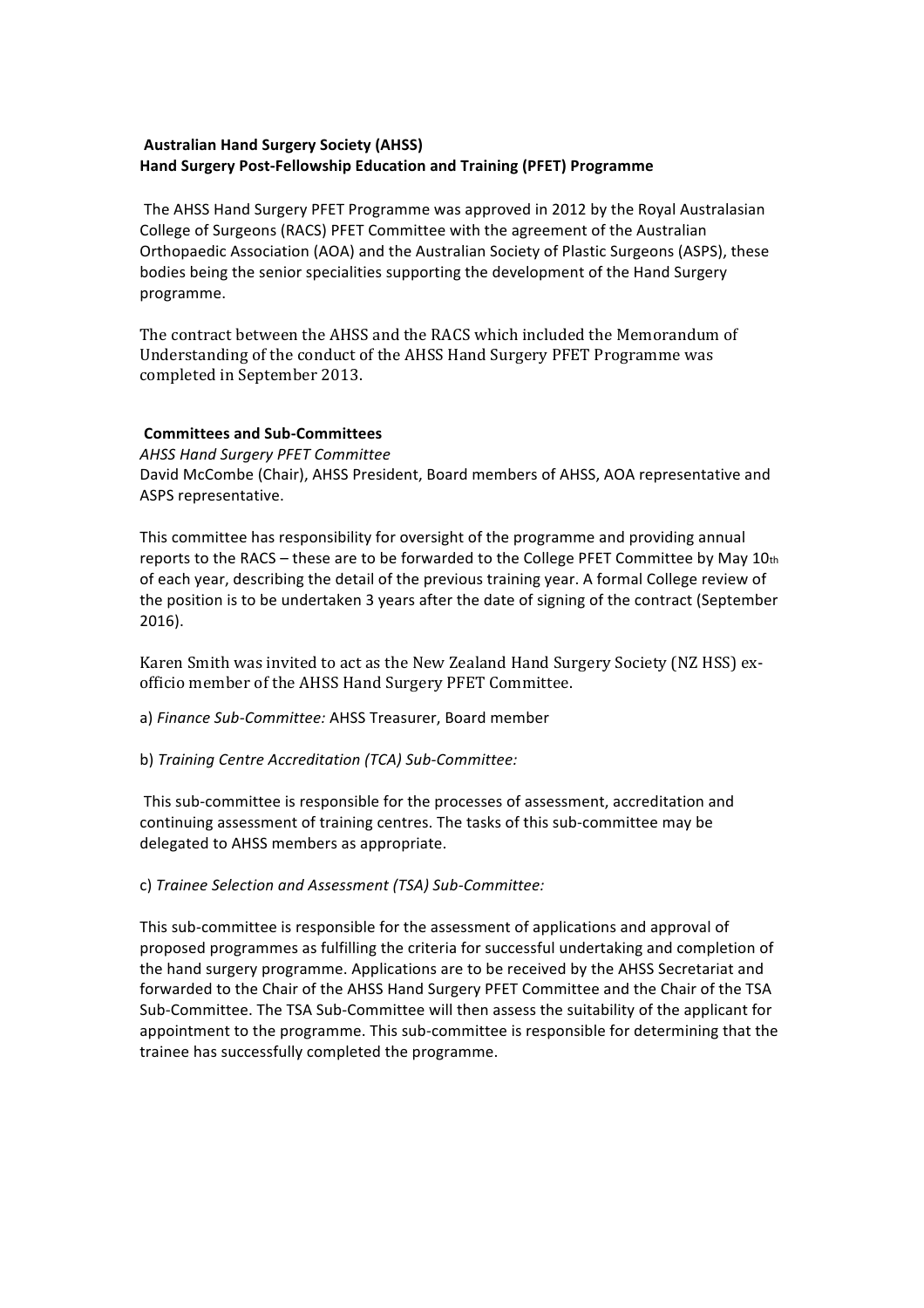## **Australian Hand Surgery Society (AHSS) Hand Surgery Post-Fellowship Education and Training (PFET) Programme**

The AHSS Hand Surgery PFET Programme was approved in 2012 by the Royal Australasian College of Surgeons (RACS) PFET Committee with the agreement of the Australian Orthopaedic Association (AOA) and the Australian Society of Plastic Surgeons (ASPS), these bodies being the senior specialities supporting the development of the Hand Surgery programme.!

The contract between the AHSS and the RACS which included the Memorandum of Understanding of the conduct of the AHSS Hand Surgery PFET Programme was completed in September 2013.

## **Committees and Sub-Committees**

**AHSS Hand Surgery PFET Committee** 

David McCombe (Chair), AHSS President, Board members of AHSS, AOA representative and ASPS representative.

This committee has responsibility for oversight of the programme and providing annual reports to the RACS – these are to be forwarded to the College PFET Committee by May  $10<sub>th</sub>$ of each year, describing the detail of the previous training year. A formal College review of the position is to be undertaken 3 years after the date of signing of the contract (September 2016).

Karen Smith was invited to act as the New Zealand Hand Surgery Society (NZ HSS) exofficio member of the AHSS Hand Surgery PFET Committee.

a) Finance Sub-Committee: AHSS Treasurer, Board member

b) Training Centre Accreditation (TCA) Sub-Committee:

This sub-committee is responsible for the processes of assessment, accreditation and continuing assessment of training centres. The tasks of this sub-committee may be delegated to AHSS members as appropriate.

## c) Trainee Selection and Assessment (TSA) Sub-Committee:

This sub-committee is responsible for the assessment of applications and approval of proposed programmes as fulfilling the criteria for successful undertaking and completion of the hand surgery programme. Applications are to be received by the AHSS Secretariat and forwarded to the Chair of the AHSS Hand Surgery PFET Committee and the Chair of the TSA Sub-Committee. The TSA Sub-Committee will then assess the suitability of the applicant for appointment to the programme. This sub-committee is responsible for determining that the trainee has successfully completed the programme.